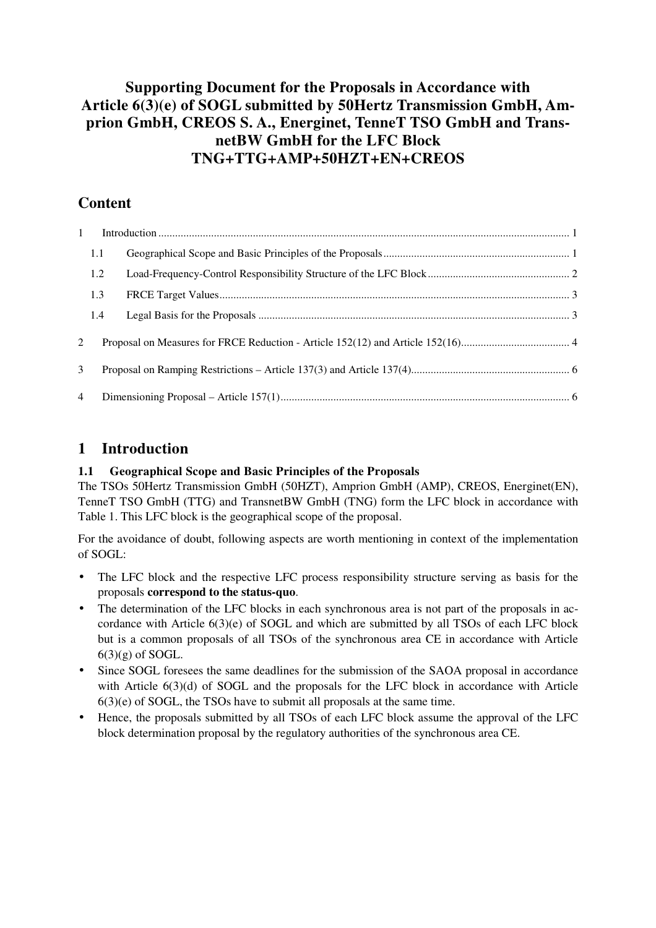## **Supporting Document for the Proposals in Accordance with Article 6(3)(e) of SOGL submitted by 50Hertz Transmission GmbH, Amprion GmbH, CREOS S. A., Energinet, TenneT TSO GmbH and TransnetBW GmbH for the LFC Block TNG+TTG+AMP+50HZT+EN+CREOS**

# **Content**

| $\mathbf{1}$   |     |  |  |  |  |  |  |
|----------------|-----|--|--|--|--|--|--|
|                | 1.1 |  |  |  |  |  |  |
|                | 1.2 |  |  |  |  |  |  |
|                | 1.3 |  |  |  |  |  |  |
|                | 1.4 |  |  |  |  |  |  |
| 2              |     |  |  |  |  |  |  |
| 3              |     |  |  |  |  |  |  |
| $\overline{4}$ |     |  |  |  |  |  |  |

## **1 Introduction**

## **1.1 Geographical Scope and Basic Principles of the Proposals**

The TSOs 50Hertz Transmission GmbH (50HZT), Amprion GmbH (AMP), CREOS, Energinet(EN), TenneT TSO GmbH (TTG) and TransnetBW GmbH (TNG) form the LFC block in accordance with Table 1. This LFC block is the geographical scope of the proposal.

For the avoidance of doubt, following aspects are worth mentioning in context of the implementation of SOGL:

- The LFC block and the respective LFC process responsibility structure serving as basis for the proposals **correspond to the status-quo**.
- The determination of the LFC blocks in each synchronous area is not part of the proposals in accordance with Article 6(3)(e) of SOGL and which are submitted by all TSOs of each LFC block but is a common proposals of all TSOs of the synchronous area CE in accordance with Article  $6(3)(g)$  of SOGL.
- Since SOGL foresees the same deadlines for the submission of the SAOA proposal in accordance with Article 6(3)(d) of SOGL and the proposals for the LFC block in accordance with Article 6(3)(e) of SOGL, the TSOs have to submit all proposals at the same time.
- Hence, the proposals submitted by all TSOs of each LFC block assume the approval of the LFC block determination proposal by the regulatory authorities of the synchronous area CE.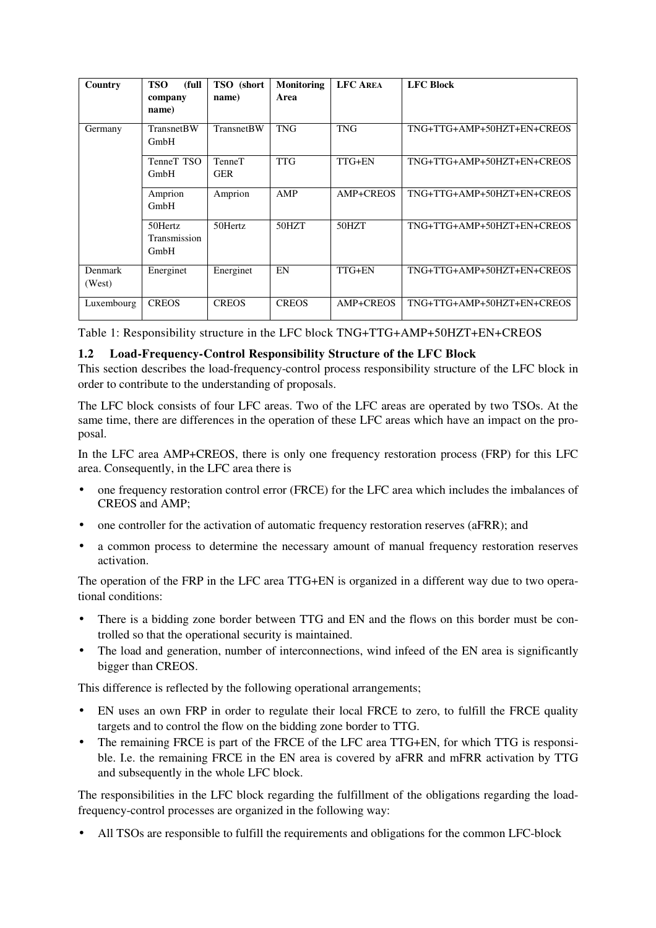| Country                  | (full<br><b>TSO</b><br>company<br>name) | TSO (short<br>name)         | <b>Monitoring</b><br>Area | <b>LFC AREA</b>  | <b>LFC Block</b>           |
|--------------------------|-----------------------------------------|-----------------------------|---------------------------|------------------|----------------------------|
| Germany                  | <b>TransnetBW</b><br>GmbH               | <b>TransnetBW</b>           | <b>TNG</b>                | <b>TNG</b>       | TNG+TTG+AMP+50HZT+EN+CREOS |
|                          | TenneT TSO<br>GmbH                      | <b>TenneT</b><br><b>GER</b> | <b>TTG</b>                | TTG+EN           | TNG+TTG+AMP+50HZT+EN+CREOS |
|                          | Amprion<br>GmbH                         | Amprion                     | AMP                       | <b>AMP+CREOS</b> | TNG+TTG+AMP+50HZT+EN+CREOS |
|                          | 50Hertz<br>Transmission<br>GmbH         | 50Hertz                     | 50HZT                     | 50HZT            | TNG+TTG+AMP+50HZT+EN+CREOS |
| <b>Denmark</b><br>(West) | Energinet                               | Energinet                   | EN                        | TTG+EN           | TNG+TTG+AMP+50HZT+EN+CREOS |
| Luxembourg               | <b>CREOS</b>                            | <b>CREOS</b>                | <b>CREOS</b>              | <b>AMP+CREOS</b> | TNG+TTG+AMP+50HZT+EN+CREOS |

Table 1: Responsibility structure in the LFC block TNG+TTG+AMP+50HZT+EN+CREOS

### **1.2 Load-Frequency-Control Responsibility Structure of the LFC Block**

This section describes the load-frequency-control process responsibility structure of the LFC block in order to contribute to the understanding of proposals.

The LFC block consists of four LFC areas. Two of the LFC areas are operated by two TSOs. At the same time, there are differences in the operation of these LFC areas which have an impact on the proposal.

In the LFC area AMP+CREOS, there is only one frequency restoration process (FRP) for this LFC area. Consequently, in the LFC area there is

- one frequency restoration control error (FRCE) for the LFC area which includes the imbalances of CREOS and AMP;
- one controller for the activation of automatic frequency restoration reserves (aFRR); and
- a common process to determine the necessary amount of manual frequency restoration reserves activation.

The operation of the FRP in the LFC area TTG+EN is organized in a different way due to two operational conditions:

- There is a bidding zone border between TTG and EN and the flows on this border must be controlled so that the operational security is maintained.
- The load and generation, number of interconnections, wind infeed of the EN area is significantly bigger than CREOS.

This difference is reflected by the following operational arrangements;

- EN uses an own FRP in order to regulate their local FRCE to zero, to fulfill the FRCE quality targets and to control the flow on the bidding zone border to TTG.
- The remaining FRCE is part of the FRCE of the LFC area TTG+EN, for which TTG is responsible. I.e. the remaining FRCE in the EN area is covered by aFRR and mFRR activation by TTG and subsequently in the whole LFC block.

The responsibilities in the LFC block regarding the fulfillment of the obligations regarding the loadfrequency-control processes are organized in the following way:

• All TSOs are responsible to fulfill the requirements and obligations for the common LFC-block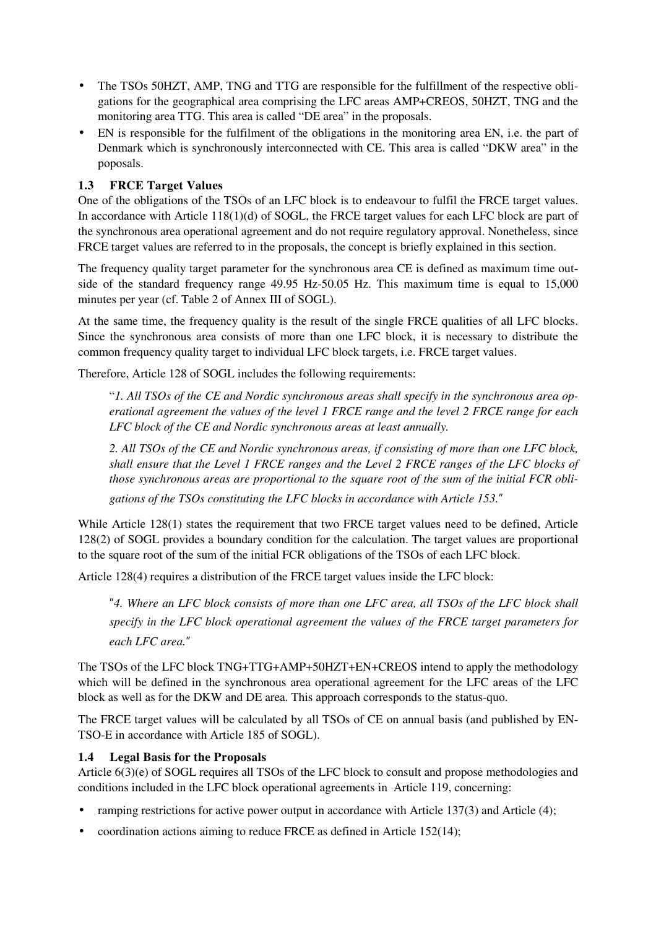- The TSOs 50HZT, AMP, TNG and TTG are responsible for the fulfillment of the respective obligations for the geographical area comprising the LFC areas AMP+CREOS, 50HZT, TNG and the monitoring area TTG. This area is called "DE area" in the proposals.
- EN is responsible for the fulfilment of the obligations in the monitoring area EN, i.e. the part of Denmark which is synchronously interconnected with CE. This area is called "DKW area" in the poposals.

### **1.3 FRCE Target Values**

One of the obligations of the TSOs of an LFC block is to endeavour to fulfil the FRCE target values. In accordance with Article 118(1)(d) of SOGL, the FRCE target values for each LFC block are part of the synchronous area operational agreement and do not require regulatory approval. Nonetheless, since FRCE target values are referred to in the proposals, the concept is briefly explained in this section.

The frequency quality target parameter for the synchronous area CE is defined as maximum time outside of the standard frequency range 49.95 Hz-50.05 Hz. This maximum time is equal to 15,000 minutes per year (cf. Table 2 of Annex III of SOGL).

At the same time, the frequency quality is the result of the single FRCE qualities of all LFC blocks. Since the synchronous area consists of more than one LFC block, it is necessary to distribute the common frequency quality target to individual LFC block targets, i.e. FRCE target values.

Therefore, Article 128 of SOGL includes the following requirements:

"*1. All TSOs of the CE and Nordic synchronous areas shall specify in the synchronous area operational agreement the values of the level 1 FRCE range and the level 2 FRCE range for each LFC block of the CE and Nordic synchronous areas at least annually.* 

*2. All TSOs of the CE and Nordic synchronous areas, if consisting of more than one LFC block, shall ensure that the Level 1 FRCE ranges and the Level 2 FRCE ranges of the LFC blocks of those synchronous areas are proportional to the square root of the sum of the initial FCR obli-*

*gations of the TSOs constituting the LFC blocks in accordance with Article 153.*"

While Article 128(1) states the requirement that two FRCE target values need to be defined, Article 128(2) of SOGL provides a boundary condition for the calculation. The target values are proportional to the square root of the sum of the initial FCR obligations of the TSOs of each LFC block.

Article 128(4) requires a distribution of the FRCE target values inside the LFC block:

"*4. Where an LFC block consists of more than one LFC area, all TSOs of the LFC block shall specify in the LFC block operational agreement the values of the FRCE target parameters for each LFC area.*"

The TSOs of the LFC block TNG+TTG+AMP+50HZT+EN+CREOS intend to apply the methodology which will be defined in the synchronous area operational agreement for the LFC areas of the LFC block as well as for the DKW and DE area. This approach corresponds to the status-quo.

The FRCE target values will be calculated by all TSOs of CE on annual basis (and published by EN-TSO-E in accordance with Article 185 of SOGL).

### **1.4 Legal Basis for the Proposals**

Article 6(3)(e) of SOGL requires all TSOs of the LFC block to consult and propose methodologies and conditions included in the LFC block operational agreements in Article 119, concerning:

- ramping restrictions for active power output in accordance with Article 137(3) and Article (4);
- coordination actions aiming to reduce FRCE as defined in Article 152(14);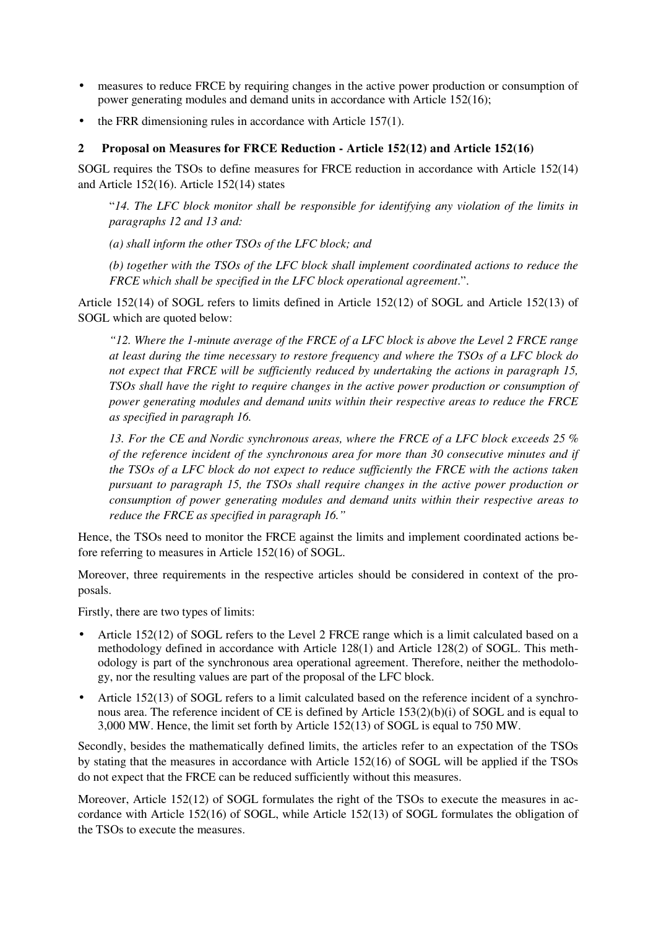- measures to reduce FRCE by requiring changes in the active power production or consumption of power generating modules and demand units in accordance with Article 152(16);
- the FRR dimensioning rules in accordance with Article 157(1).

#### **2 Proposal on Measures for FRCE Reduction - Article 152(12) and Article 152(16)**

SOGL requires the TSOs to define measures for FRCE reduction in accordance with Article 152(14) and Article 152(16). Article 152(14) states

"*14. The LFC block monitor shall be responsible for identifying any violation of the limits in paragraphs 12 and 13 and:* 

*(a) shall inform the other TSOs of the LFC block; and* 

*(b) together with the TSOs of the LFC block shall implement coordinated actions to reduce the FRCE which shall be specified in the LFC block operational agreement*.".

Article 152(14) of SOGL refers to limits defined in Article 152(12) of SOGL and Article 152(13) of SOGL which are quoted below:

*"12. Where the 1-minute average of the FRCE of a LFC block is above the Level 2 FRCE range at least during the time necessary to restore frequency and where the TSOs of a LFC block do not expect that FRCE will be sufficiently reduced by undertaking the actions in paragraph 15, TSOs shall have the right to require changes in the active power production or consumption of power generating modules and demand units within their respective areas to reduce the FRCE as specified in paragraph 16.* 

*13. For the CE and Nordic synchronous areas, where the FRCE of a LFC block exceeds 25 % of the reference incident of the synchronous area for more than 30 consecutive minutes and if the TSOs of a LFC block do not expect to reduce sufficiently the FRCE with the actions taken pursuant to paragraph 15, the TSOs shall require changes in the active power production or consumption of power generating modules and demand units within their respective areas to reduce the FRCE as specified in paragraph 16."* 

Hence, the TSOs need to monitor the FRCE against the limits and implement coordinated actions before referring to measures in Article 152(16) of SOGL.

Moreover, three requirements in the respective articles should be considered in context of the proposals.

Firstly, there are two types of limits:

- Article 152(12) of SOGL refers to the Level 2 FRCE range which is a limit calculated based on a methodology defined in accordance with Article 128(1) and Article 128(2) of SOGL. This methodology is part of the synchronous area operational agreement. Therefore, neither the methodology, nor the resulting values are part of the proposal of the LFC block.
- Article 152(13) of SOGL refers to a limit calculated based on the reference incident of a synchronous area. The reference incident of CE is defined by Article 153(2)(b)(i) of SOGL and is equal to 3,000 MW. Hence, the limit set forth by Article 152(13) of SOGL is equal to 750 MW.

Secondly, besides the mathematically defined limits, the articles refer to an expectation of the TSOs by stating that the measures in accordance with Article 152(16) of SOGL will be applied if the TSOs do not expect that the FRCE can be reduced sufficiently without this measures.

Moreover, Article 152(12) of SOGL formulates the right of the TSOs to execute the measures in accordance with Article 152(16) of SOGL, while Article 152(13) of SOGL formulates the obligation of the TSOs to execute the measures.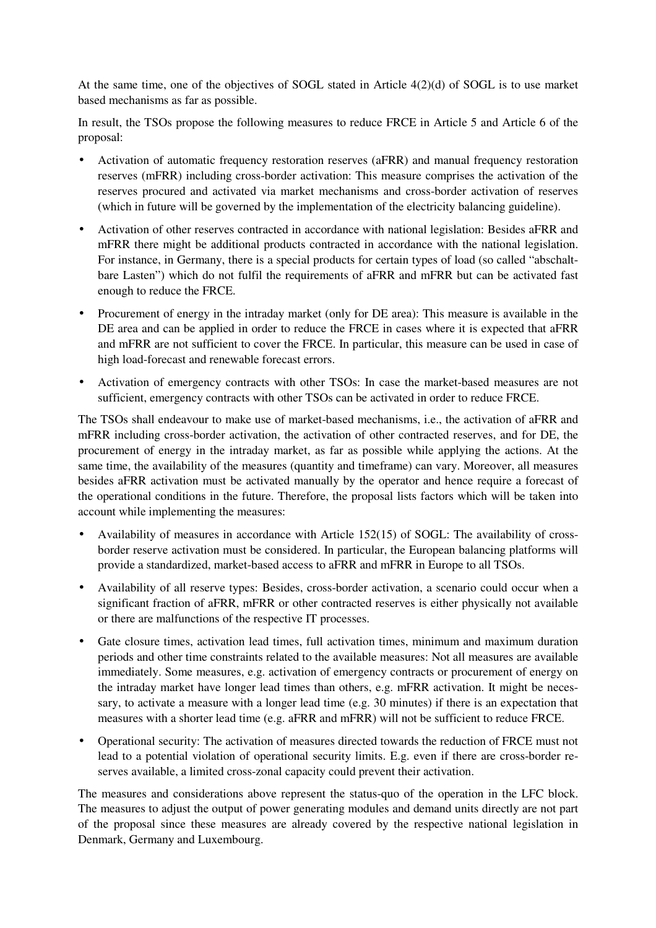At the same time, one of the objectives of SOGL stated in Article 4(2)(d) of SOGL is to use market based mechanisms as far as possible.

In result, the TSOs propose the following measures to reduce FRCE in Article 5 and Article 6 of the proposal:

- Activation of automatic frequency restoration reserves (aFRR) and manual frequency restoration reserves (mFRR) including cross-border activation: This measure comprises the activation of the reserves procured and activated via market mechanisms and cross-border activation of reserves (which in future will be governed by the implementation of the electricity balancing guideline).
- Activation of other reserves contracted in accordance with national legislation: Besides aFRR and mFRR there might be additional products contracted in accordance with the national legislation. For instance, in Germany, there is a special products for certain types of load (so called "abschaltbare Lasten") which do not fulfil the requirements of aFRR and mFRR but can be activated fast enough to reduce the FRCE.
- Procurement of energy in the intraday market (only for DE area): This measure is available in the DE area and can be applied in order to reduce the FRCE in cases where it is expected that aFRR and mFRR are not sufficient to cover the FRCE. In particular, this measure can be used in case of high load-forecast and renewable forecast errors.
- Activation of emergency contracts with other TSOs: In case the market-based measures are not sufficient, emergency contracts with other TSOs can be activated in order to reduce FRCE.

The TSOs shall endeavour to make use of market-based mechanisms, i.e., the activation of aFRR and mFRR including cross-border activation, the activation of other contracted reserves, and for DE, the procurement of energy in the intraday market, as far as possible while applying the actions. At the same time, the availability of the measures (quantity and timeframe) can vary. Moreover, all measures besides aFRR activation must be activated manually by the operator and hence require a forecast of the operational conditions in the future. Therefore, the proposal lists factors which will be taken into account while implementing the measures:

- Availability of measures in accordance with Article 152(15) of SOGL: The availability of crossborder reserve activation must be considered. In particular, the European balancing platforms will provide a standardized, market-based access to aFRR and mFRR in Europe to all TSOs.
- Availability of all reserve types: Besides, cross-border activation, a scenario could occur when a significant fraction of aFRR, mFRR or other contracted reserves is either physically not available or there are malfunctions of the respective IT processes.
- Gate closure times, activation lead times, full activation times, minimum and maximum duration periods and other time constraints related to the available measures: Not all measures are available immediately. Some measures, e.g. activation of emergency contracts or procurement of energy on the intraday market have longer lead times than others, e.g. mFRR activation. It might be necessary, to activate a measure with a longer lead time (e.g. 30 minutes) if there is an expectation that measures with a shorter lead time (e.g. aFRR and mFRR) will not be sufficient to reduce FRCE.
- Operational security: The activation of measures directed towards the reduction of FRCE must not lead to a potential violation of operational security limits. E.g. even if there are cross-border reserves available, a limited cross-zonal capacity could prevent their activation.

The measures and considerations above represent the status-quo of the operation in the LFC block. The measures to adjust the output of power generating modules and demand units directly are not part of the proposal since these measures are already covered by the respective national legislation in Denmark, Germany and Luxembourg.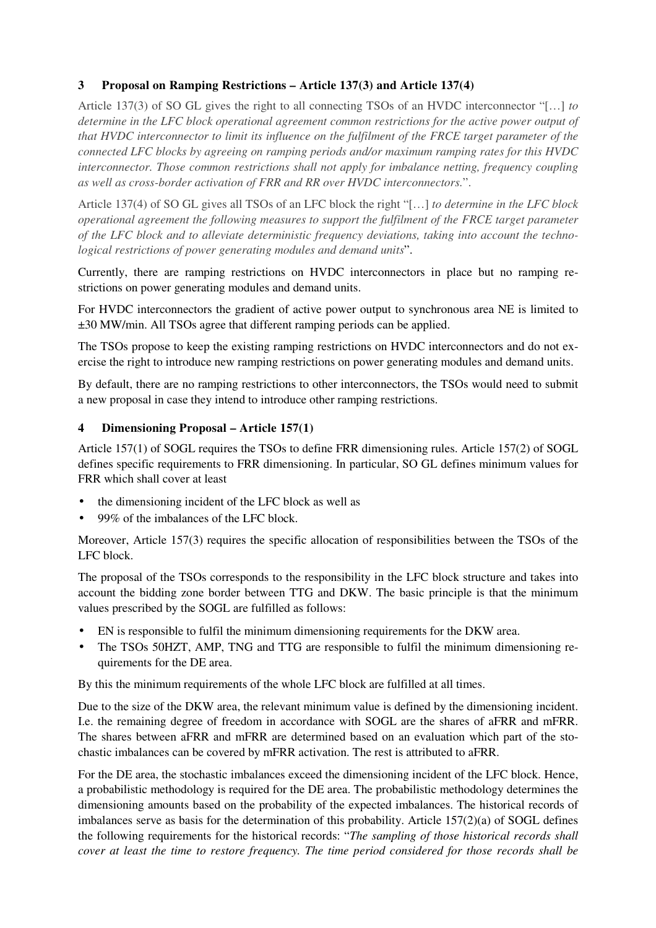## **3 Proposal on Ramping Restrictions – Article 137(3) and Article 137(4)**

Article 137(3) of SO GL gives the right to all connecting TSOs of an HVDC interconnector "[…] *to determine in the LFC block operational agreement common restrictions for the active power output of that HVDC interconnector to limit its influence on the fulfilment of the FRCE target parameter of the connected LFC blocks by agreeing on ramping periods and/or maximum ramping rates for this HVDC interconnector. Those common restrictions shall not apply for imbalance netting, frequency coupling as well as cross-border activation of FRR and RR over HVDC interconnectors.*".

Article 137(4) of SO GL gives all TSOs of an LFC block the right "[…] *to determine in the LFC block operational agreement the following measures to support the fulfilment of the FRCE target parameter of the LFC block and to alleviate deterministic frequency deviations, taking into account the technological restrictions of power generating modules and demand units*".

Currently, there are ramping restrictions on HVDC interconnectors in place but no ramping restrictions on power generating modules and demand units.

For HVDC interconnectors the gradient of active power output to synchronous area NE is limited to ±30 MW/min. All TSOs agree that different ramping periods can be applied.

The TSOs propose to keep the existing ramping restrictions on HVDC interconnectors and do not exercise the right to introduce new ramping restrictions on power generating modules and demand units.

By default, there are no ramping restrictions to other interconnectors, the TSOs would need to submit a new proposal in case they intend to introduce other ramping restrictions.

#### **4 Dimensioning Proposal – Article 157(1)**

Article 157(1) of SOGL requires the TSOs to define FRR dimensioning rules. Article 157(2) of SOGL defines specific requirements to FRR dimensioning. In particular, SO GL defines minimum values for FRR which shall cover at least

- the dimensioning incident of the LFC block as well as
- 99% of the imbalances of the LFC block.

Moreover, Article 157(3) requires the specific allocation of responsibilities between the TSOs of the LFC block.

The proposal of the TSOs corresponds to the responsibility in the LFC block structure and takes into account the bidding zone border between TTG and DKW. The basic principle is that the minimum values prescribed by the SOGL are fulfilled as follows:

- EN is responsible to fulfil the minimum dimensioning requirements for the DKW area.
- The TSOs 50HZT, AMP, TNG and TTG are responsible to fulfil the minimum dimensioning requirements for the DE area.

By this the minimum requirements of the whole LFC block are fulfilled at all times.

Due to the size of the DKW area, the relevant minimum value is defined by the dimensioning incident. I.e. the remaining degree of freedom in accordance with SOGL are the shares of aFRR and mFRR. The shares between aFRR and mFRR are determined based on an evaluation which part of the stochastic imbalances can be covered by mFRR activation. The rest is attributed to aFRR.

For the DE area, the stochastic imbalances exceed the dimensioning incident of the LFC block. Hence, a probabilistic methodology is required for the DE area. The probabilistic methodology determines the dimensioning amounts based on the probability of the expected imbalances. The historical records of imbalances serve as basis for the determination of this probability. Article 157(2)(a) of SOGL defines the following requirements for the historical records: "*The sampling of those historical records shall cover at least the time to restore frequency. The time period considered for those records shall be*